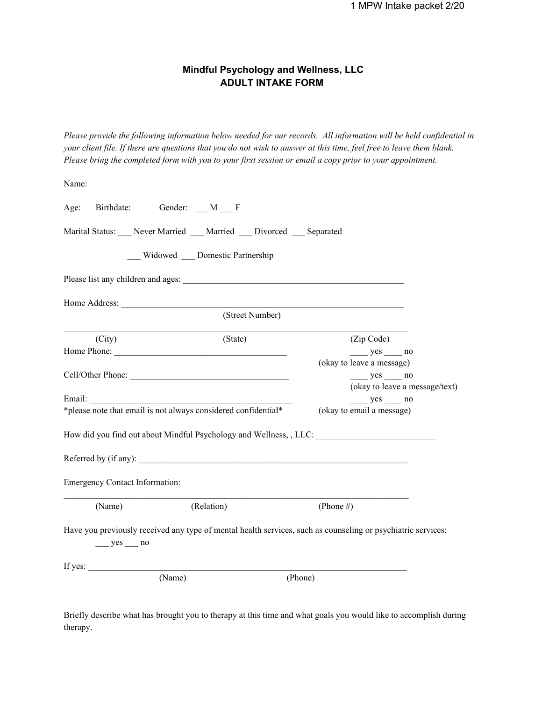# **Mindful Psychology and Wellness, LLC ADULT INTAKE FORM**

Please provide the following information below needed for our records. All information will be held confidential in your client file. If there are questions that you do not wish to answer at this time, feel free to leave them blank. Please bring the completed form with you to your first session or email a copy prior to your appointment.

| Name:                                                                                                                                                                                                                             |                                 |                 |              |                                       |                                |
|-----------------------------------------------------------------------------------------------------------------------------------------------------------------------------------------------------------------------------------|---------------------------------|-----------------|--------------|---------------------------------------|--------------------------------|
| Age:                                                                                                                                                                                                                              | Birthdate: Gender: M F          |                 |              |                                       |                                |
| Marital Status: Never Married Married Divorced Separated                                                                                                                                                                          |                                 |                 |              |                                       |                                |
|                                                                                                                                                                                                                                   | Widowed __ Domestic Partnership |                 |              |                                       |                                |
|                                                                                                                                                                                                                                   |                                 |                 |              |                                       |                                |
|                                                                                                                                                                                                                                   |                                 |                 |              |                                       |                                |
|                                                                                                                                                                                                                                   |                                 | (Street Number) |              |                                       |                                |
| (City)                                                                                                                                                                                                                            |                                 | (State)         |              | (Zip Code)                            |                                |
|                                                                                                                                                                                                                                   |                                 |                 |              | $yes$ no<br>(okay to leave a message) |                                |
| Cell/Other Phone:                                                                                                                                                                                                                 |                                 |                 |              | $yes$ no                              |                                |
|                                                                                                                                                                                                                                   |                                 |                 |              |                                       | (okay to leave a message/text) |
|                                                                                                                                                                                                                                   |                                 |                 |              | $yes$ no                              |                                |
| *please note that email is not always considered confidential*                                                                                                                                                                    |                                 |                 |              | (okay to email a message)             |                                |
| How did you find out about Mindful Psychology and Wellness, , LLC: \]                                                                                                                                                             |                                 |                 |              |                                       |                                |
|                                                                                                                                                                                                                                   |                                 |                 |              |                                       |                                |
| <b>Emergency Contact Information:</b>                                                                                                                                                                                             |                                 |                 |              |                                       |                                |
| (Name)                                                                                                                                                                                                                            | (Relation)                      |                 | (Phone $#$ ) |                                       |                                |
| Have you previously received any type of mental health services, such as counseling or psychiatric services:<br>$yes$ no                                                                                                          |                                 |                 |              |                                       |                                |
| If yes: $\frac{1}{2}$ is the set of the set of the set of the set of the set of the set of the set of the set of the set of the set of the set of the set of the set of the set of the set of the set of the set of the set of th |                                 |                 |              |                                       |                                |
|                                                                                                                                                                                                                                   | (Name)                          |                 | (Phone)      |                                       |                                |

Briefly describe what has brought you to therapy at this time and what goals you would like to accomplish during therapy.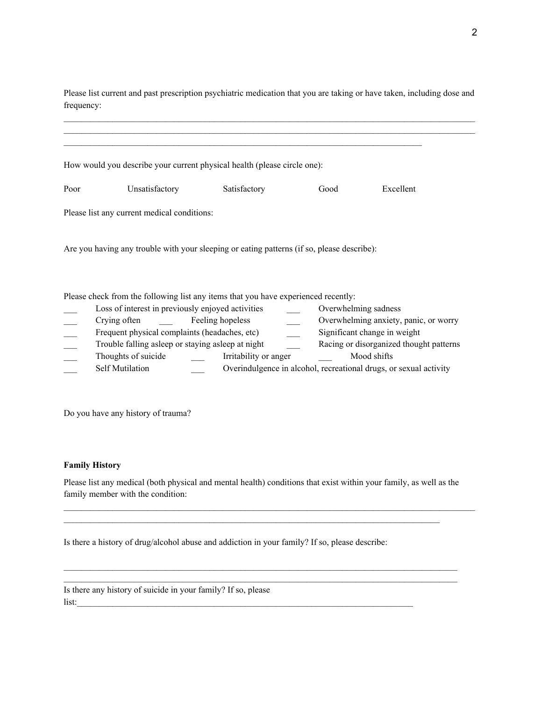Please list current and past prescription psychiatric medication that you are taking or have taken, including dose and frequency:

|      | How would you describe your current physical health (please circle one):                   |                       |      |                                         |
|------|--------------------------------------------------------------------------------------------|-----------------------|------|-----------------------------------------|
|      |                                                                                            |                       |      |                                         |
| Poor | Unsatisfactory                                                                             | Satisfactory          | Good | Excellent                               |
|      |                                                                                            |                       |      |                                         |
|      | Please list any current medical conditions:                                                |                       |      |                                         |
|      |                                                                                            |                       |      |                                         |
|      | Are you having any trouble with your sleeping or eating patterns (if so, please describe): |                       |      |                                         |
|      |                                                                                            |                       |      |                                         |
|      |                                                                                            |                       |      |                                         |
|      |                                                                                            |                       |      |                                         |
|      | Please check from the following list any items that you have experienced recently:         |                       |      |                                         |
|      | Loss of interest in previously enjoyed activities                                          |                       |      | Overwhelming sadness                    |
|      | Crying often                                                                               | Feeling hopeless      |      | Overwhelming anxiety, panic, or worry   |
|      | Frequent physical complaints (headaches, etc)                                              |                       |      | Significant change in weight            |
|      | Trouble falling asleep or staying asleep at night                                          |                       |      | Racing or disorganized thought patterns |
|      | Thoughts of suicide                                                                        | Irritability or anger |      | Mood shifts                             |

Self Mutilation **Self Mutilation** Overindulgence in alcohol, recreational drugs, or sexual activity

Do you have any history of trauma?

#### **Family History**

Please list any medical (both physical and mental health) conditions that exist within your family, as well as the family member with the condition:

 $\mathcal{L}_\mathcal{L} = \{ \mathcal{L}_\mathcal{L} = \{ \mathcal{L}_\mathcal{L} = \{ \mathcal{L}_\mathcal{L} = \{ \mathcal{L}_\mathcal{L} = \{ \mathcal{L}_\mathcal{L} = \{ \mathcal{L}_\mathcal{L} = \{ \mathcal{L}_\mathcal{L} = \{ \mathcal{L}_\mathcal{L} = \{ \mathcal{L}_\mathcal{L} = \{ \mathcal{L}_\mathcal{L} = \{ \mathcal{L}_\mathcal{L} = \{ \mathcal{L}_\mathcal{L} = \{ \mathcal{L}_\mathcal{L} = \{ \mathcal{L}_\mathcal{$  $\mathcal{L}_\mathcal{L} = \{ \mathcal{L}_\mathcal{L} = \{ \mathcal{L}_\mathcal{L} = \{ \mathcal{L}_\mathcal{L} = \{ \mathcal{L}_\mathcal{L} = \{ \mathcal{L}_\mathcal{L} = \{ \mathcal{L}_\mathcal{L} = \{ \mathcal{L}_\mathcal{L} = \{ \mathcal{L}_\mathcal{L} = \{ \mathcal{L}_\mathcal{L} = \{ \mathcal{L}_\mathcal{L} = \{ \mathcal{L}_\mathcal{L} = \{ \mathcal{L}_\mathcal{L} = \{ \mathcal{L}_\mathcal{L} = \{ \mathcal{L}_\mathcal{$ 

 $\mathcal{L}_\mathcal{L} = \{ \mathcal{L}_\mathcal{L} = \{ \mathcal{L}_\mathcal{L} = \{ \mathcal{L}_\mathcal{L} = \{ \mathcal{L}_\mathcal{L} = \{ \mathcal{L}_\mathcal{L} = \{ \mathcal{L}_\mathcal{L} = \{ \mathcal{L}_\mathcal{L} = \{ \mathcal{L}_\mathcal{L} = \{ \mathcal{L}_\mathcal{L} = \{ \mathcal{L}_\mathcal{L} = \{ \mathcal{L}_\mathcal{L} = \{ \mathcal{L}_\mathcal{L} = \{ \mathcal{L}_\mathcal{L} = \{ \mathcal{L}_\mathcal{$ 

 $\mathcal{L}_\mathcal{L} = \{ \mathcal{L}_\mathcal{L} = \{ \mathcal{L}_\mathcal{L} = \{ \mathcal{L}_\mathcal{L} = \{ \mathcal{L}_\mathcal{L} = \{ \mathcal{L}_\mathcal{L} = \{ \mathcal{L}_\mathcal{L} = \{ \mathcal{L}_\mathcal{L} = \{ \mathcal{L}_\mathcal{L} = \{ \mathcal{L}_\mathcal{L} = \{ \mathcal{L}_\mathcal{L} = \{ \mathcal{L}_\mathcal{L} = \{ \mathcal{L}_\mathcal{L} = \{ \mathcal{L}_\mathcal{L} = \{ \mathcal{L}_\mathcal{$ 

Is there a history of drug/alcohol abuse and addiction in your family? If so, please describe:

Is there any history of suicide in your family? If so, please  $list:$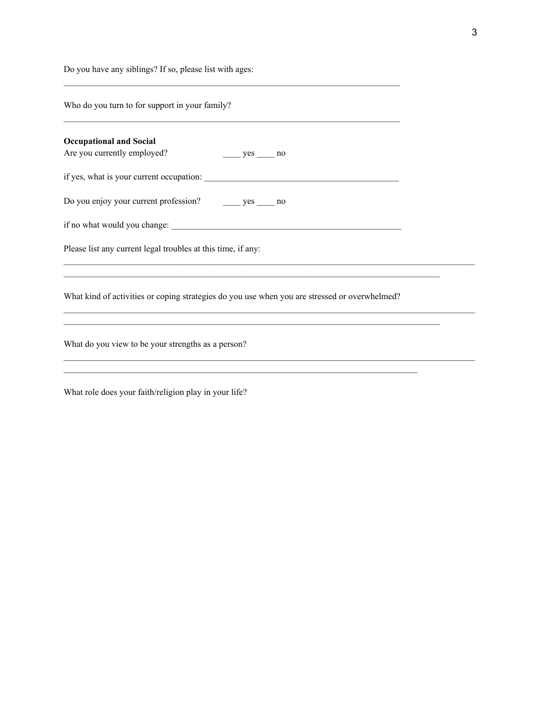Do you have any siblings? If so, please list with ages:

Who do you turn to for support in your family?

| <b>Occupational and Social</b><br>Are you currently employed?<br>$yes$ no                     |  |
|-----------------------------------------------------------------------------------------------|--|
|                                                                                               |  |
| Do you enjoy your current profession? _______ yes _____ no                                    |  |
|                                                                                               |  |
| Please list any current legal troubles at this time, if any:                                  |  |
|                                                                                               |  |
| What kind of activities or coping strategies do you use when you are stressed or overwhelmed? |  |
|                                                                                               |  |
| What do you view to be your strengths as a person?                                            |  |
|                                                                                               |  |
|                                                                                               |  |

 $\mathcal{L}_\text{max}$  and  $\mathcal{L}_\text{max}$  and  $\mathcal{L}_\text{max}$  and  $\mathcal{L}_\text{max}$  and  $\mathcal{L}_\text{max}$  and  $\mathcal{L}_\text{max}$ 

 $\mathcal{L}_\text{max}$  and  $\mathcal{L}_\text{max}$  and  $\mathcal{L}_\text{max}$  and  $\mathcal{L}_\text{max}$  and  $\mathcal{L}_\text{max}$  and  $\mathcal{L}_\text{max}$ 

What role does your faith/religion play in your life?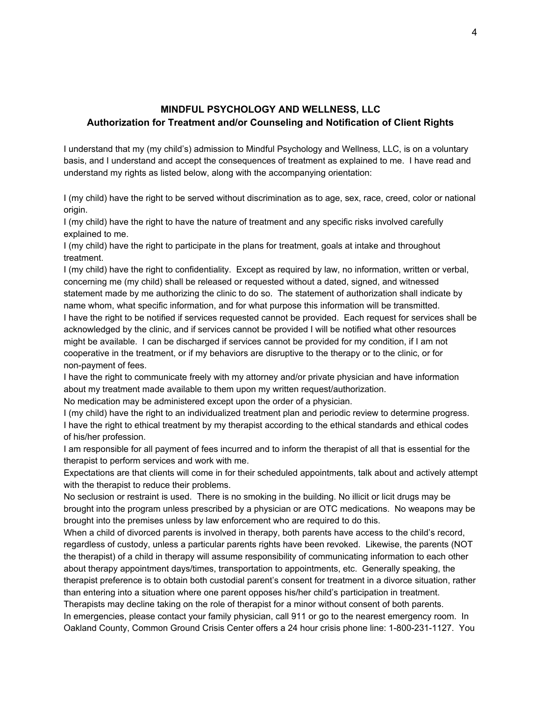#### **MINDFUL PSYCHOLOGY AND WELLNESS, LLC Authorization for Treatment and/or Counseling and Notification of Client Rights**

I understand that my (my child's) admission to Mindful Psychology and Wellness, LLC, is on a voluntary basis, and I understand and accept the consequences of treatment as explained to me. I have read and understand my rights as listed below, along with the accompanying orientation:

I (my child) have the right to be served without discrimination as to age, sex, race, creed, color or national origin.

I (my child) have the right to have the nature of treatment and any specific risks involved carefully explained to me.

I (my child) have the right to participate in the plans for treatment, goals at intake and throughout treatment.

I (my child) have the right to confidentiality. Except as required by law, no information, written or verbal, concerning me (my child) shall be released or requested without a dated, signed, and witnessed statement made by me authorizing the clinic to do so. The statement of authorization shall indicate by name whom, what specific information, and for what purpose this information will be transmitted. I have the right to be notified if services requested cannot be provided. Each request for services shall be acknowledged by the clinic, and if services cannot be provided I will be notified what other resources might be available. I can be discharged if services cannot be provided for my condition, if I am not cooperative in the treatment, or if my behaviors are disruptive to the therapy or to the clinic, or for non-payment of fees.

I have the right to communicate freely with my attorney and/or private physician and have information about my treatment made available to them upon my written request/authorization.

No medication may be administered except upon the order of a physician.

I (my child) have the right to an individualized treatment plan and periodic review to determine progress. I have the right to ethical treatment by my therapist according to the ethical standards and ethical codes of his/her profession.

I am responsible for all payment of fees incurred and to inform the therapist of all that is essential for the therapist to perform services and work with me.

Expectations are that clients will come in for their scheduled appointments, talk about and actively attempt with the therapist to reduce their problems.

No seclusion or restraint is used. There is no smoking in the building. No illicit or licit drugs may be brought into the program unless prescribed by a physician or are OTC medications. No weapons may be brought into the premises unless by law enforcement who are required to do this.

When a child of divorced parents is involved in therapy, both parents have access to the child's record, regardless of custody, unless a particular parents rights have been revoked. Likewise, the parents (NOT the therapist) of a child in therapy will assume responsibility of communicating information to each other about therapy appointment days/times, transportation to appointments, etc. Generally speaking, the therapist preference is to obtain both custodial parent's consent for treatment in a divorce situation, rather than entering into a situation where one parent opposes his/her child's participation in treatment.

Therapists may decline taking on the role of therapist for a minor without consent of both parents. In emergencies, please contact your family physician, call 911 or go to the nearest emergency room. In Oakland County, Common Ground Crisis Center offers a 24 hour crisis phone line: 1-800-231-1127. You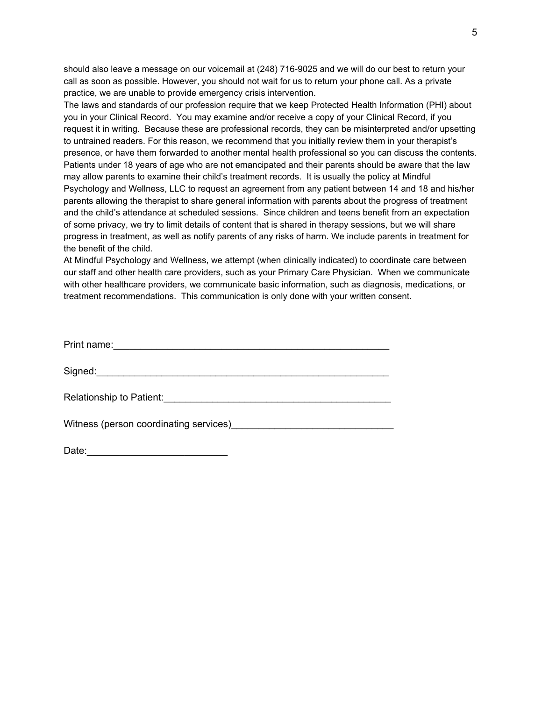should also leave a message on our voicemail at (248) 716-9025 and we will do our best to return your call as soon as possible. However, you should not wait for us to return your phone call. As a private practice, we are unable to provide emergency crisis intervention.

The laws and standards of our profession require that we keep Protected Health Information (PHI) about you in your Clinical Record. You may examine and/or receive a copy of your Clinical Record, if you request it in writing. Because these are professional records, they can be misinterpreted and/or upsetting to untrained readers. For this reason, we recommend that you initially review them in your therapist's presence, or have them forwarded to another mental health professional so you can discuss the contents. Patients under 18 years of age who are not emancipated and their parents should be aware that the law may allow parents to examine their child's treatment records. It is usually the policy at Mindful Psychology and Wellness, LLC to request an agreement from any patient between 14 and 18 and his/her parents allowing the therapist to share general information with parents about the progress of treatment and the child's attendance at scheduled sessions. Since children and teens benefit from an expectation of some privacy, we try to limit details of content that is shared in therapy sessions, but we will share progress in treatment, as well as notify parents of any risks of harm. We include parents in treatment for the benefit of the child.

At Mindful Psychology and Wellness, we attempt (when clinically indicated) to coordinate care between our staff and other health care providers, such as your Primary Care Physician. When we communicate with other healthcare providers, we communicate basic information, such as diagnosis, medications, or treatment recommendations. This communication is only done with your written consent.

| Print name:              |
|--------------------------|
| Signed:                  |
|                          |
| Relationship to Patient: |

Witness (person coordinating services)

| Date: |  |  |  |
|-------|--|--|--|
|       |  |  |  |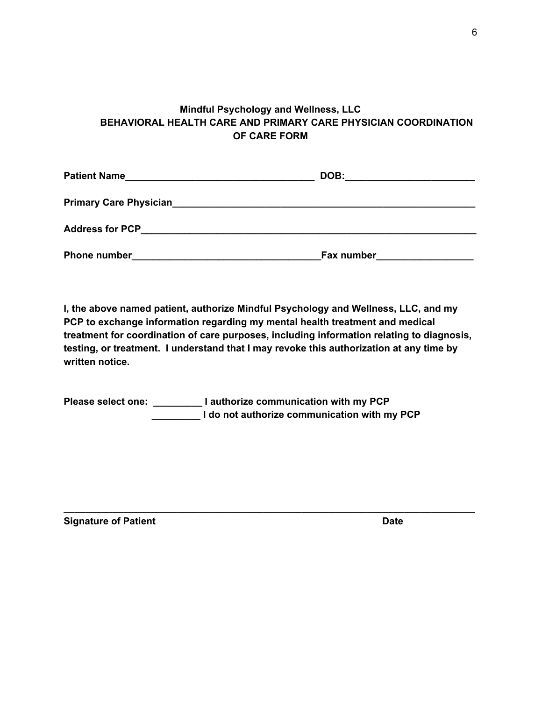# **Mindful Psychology and Wellness, LLC BEHAVIORAL HEALTH CARE AND PRIMARY CARE PHYSICIAN COORDINATION OF CARE FORM**

| <b>Patient Name</b><br>the control of the control of the control of the control of the control of | DOB:       |
|---------------------------------------------------------------------------------------------------|------------|
| <b>Primary Care Physician_</b>                                                                    |            |
| <b>Address for PCP</b>                                                                            |            |
| <b>Phone number</b>                                                                               | Fax number |

**I, the above named patient, authorize Mindful Psychology and Wellness, LLC, and my PCP to exchange information regarding my mental health treatment and medical treatment for coordination of care purposes, including information relating to diagnosis, testing, or treatment. I understand that I may revoke this authorization at any time by written notice.**

**\_\_\_\_\_\_\_\_\_\_\_\_\_\_\_\_\_\_\_\_\_\_\_\_\_\_\_\_\_\_\_\_\_\_\_\_\_\_\_\_\_\_\_\_\_\_\_\_\_\_\_\_\_\_\_\_\_\_\_\_\_\_\_\_\_\_\_\_\_\_\_\_\_\_\_\_**

**Please select one: \_\_\_\_\_\_\_\_\_ I authorize communication with my PCP \_\_\_\_\_\_\_\_\_ I do not authorize communication with my PCP**

**Signature of Patient Date**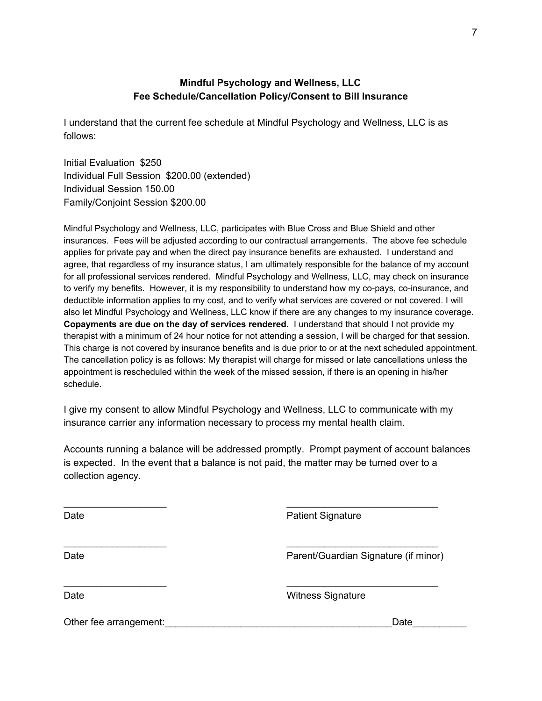### **Mindful Psychology and Wellness, LLC Fee Schedule/Cancellation Policy/Consent to Bill Insurance**

I understand that the current fee schedule at Mindful Psychology and Wellness, LLC is as follows:

Initial Evaluation \$250 Individual Full Session \$200.00 (extended) Individual Session 150.00 Family/Conjoint Session \$200.00

Mindful Psychology and Wellness, LLC, participates with Blue Cross and Blue Shield and other insurances. Fees will be adjusted according to our contractual arrangements. The above fee schedule applies for private pay and when the direct pay insurance benefits are exhausted. I understand and agree, that regardless of my insurance status, I am ultimately responsible for the balance of my account for all professional services rendered. Mindful Psychology and Wellness, LLC, may check on insurance to verify my benefits. However, it is my responsibility to understand how my co-pays, co-insurance, and deductible information applies to my cost, and to verify what services are covered or not covered. I will also let Mindful Psychology and Wellness, LLC know if there are any changes to my insurance coverage. **Copayments are due on the day of services rendered.** I understand that should I not provide my therapist with a minimum of 24 hour notice for not attending a session, I will be charged for that session. This charge is not covered by insurance benefits and is due prior to or at the next scheduled appointment. The cancellation policy is as follows: My therapist will charge for missed or late cancellations unless the appointment is rescheduled within the week of the missed session, if there is an opening in his/her schedule.

I give my consent to allow Mindful Psychology and Wellness, LLC to communicate with my insurance carrier any information necessary to process my mental health claim.

Accounts running a balance will be addressed promptly. Prompt payment of account balances is expected. In the event that a balance is not paid, the matter may be turned over to a collection agency.

 $\overline{\phantom{a}}$  , and the contract of the contract of the contract of the contract of the contract of the contract of the contract of the contract of the contract of the contract of the contract of the contract of the contrac

 $\overline{\phantom{a}}$  , and the contract of the contract of the contract of the contract of the contract of the contract of the contract of the contract of the contract of the contract of the contract of the contract of the contrac

 $\overline{\phantom{a}}$  , and the contract of the contract of the contract of the contract of the contract of the contract of the contract of the contract of the contract of the contract of the contract of the contract of the contrac

Date **Date Patient Signature** 

Date **Date** Parent/Guardian Signature (if minor)

Date **Date** Witness Signature

Other fee arrangement: example of the state of the state of the state of the state of the state of the state of the state of the state of the state of the state of the state of the state of the state of the state of the st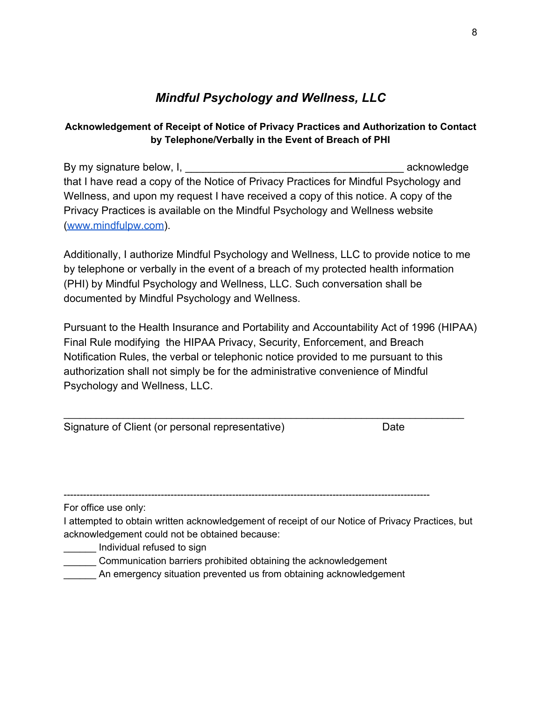# *Mindful Psychology and Wellness, LLC*

# **Acknowledgement of Receipt of Notice of Privacy Practices and Authorization to Contact by Telephone/Verbally in the Event of Breach of PHI**

By my signature below, I, the state of the state of the state of the state of the state of the state of the state of the state of the state of the state of the state of the state of the state of the state of the state of t that I have read a copy of the Notice of Privacy Practices for Mindful Psychology and Wellness, and upon my request I have received a copy of this notice. A copy of the Privacy Practices is available on the Mindful Psychology and Wellness website ([www.mindfulpw.com](http://www.mindfulpw.com/)).

Additionally, I authorize Mindful Psychology and Wellness, LLC to provide notice to me by telephone or verbally in the event of a breach of my protected health information (PHI) by Mindful Psychology and Wellness, LLC. Such conversation shall be documented by Mindful Psychology and Wellness.

Pursuant to the Health Insurance and Portability and Accountability Act of 1996 (HIPAA) Final Rule modifying the HIPAA Privacy, Security, Enforcement, and Breach Notification Rules, the verbal or telephonic notice provided to me pursuant to this authorization shall not simply be for the administrative convenience of Mindful Psychology and Wellness, LLC.

\_\_\_\_\_\_\_\_\_\_\_\_\_\_\_\_\_\_\_\_\_\_\_\_\_\_\_\_\_\_\_\_\_\_\_\_\_\_\_\_\_\_\_\_\_\_\_\_\_\_\_\_\_\_\_\_\_\_\_\_\_\_\_\_\_\_\_\_\_\_\_\_\_\_

| Signature of Client (or personal representative) | Date |
|--------------------------------------------------|------|
|--------------------------------------------------|------|

-----------------------------------------------------------------------------------------------------------------

For office use only:

I attempted to obtain written acknowledgement of receipt of our Notice of Privacy Practices, but acknowledgement could not be obtained because:

\_\_\_\_\_\_ Individual refused to sign

\_\_\_\_\_\_ Communication barriers prohibited obtaining the acknowledgement

\_\_\_\_\_\_ An emergency situation prevented us from obtaining acknowledgement